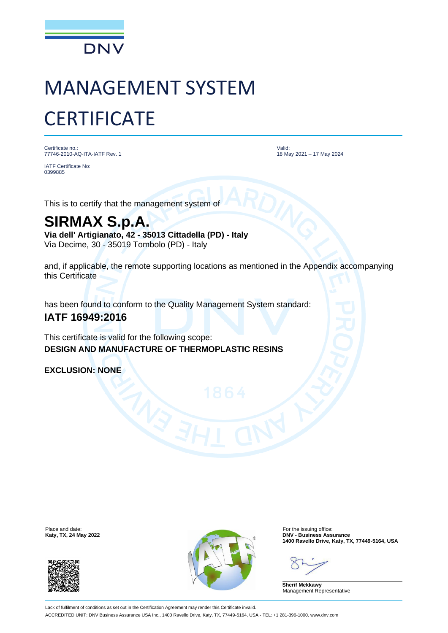

# MANAGEMENT SYSTEM **CERTIFICATE**

Certificate no.: 77746-2010-AQ-ITA-IATF Rev. 1

IATF Certificate No: 0399885

Valid: 18 May 2021 – 17 May 2024

This is to certify that the management system of

## **SIRMAX S.p.A.**

**Via dell' Artigianato, 42 - 35013 Cittadella (PD) - Italy** Via Decime, 30 - 35019 Tombolo (PD) - Italy

and, if applicable, the remote supporting locations as mentioned in the Appendix accompanying this Certificate

has been found to conform to the Quality Management System standard:

### **IATF 16949:2016**

This certificate is valid for the following scope: **DESIGN AND MANUFACTURE OF THERMOPLASTIC RESINS**

**EXCLUSION: NONE**





**1400 Ravello Drive, Katy, TX, 77449-5164, USA**

**Sherif Mekkawy** Management Representative